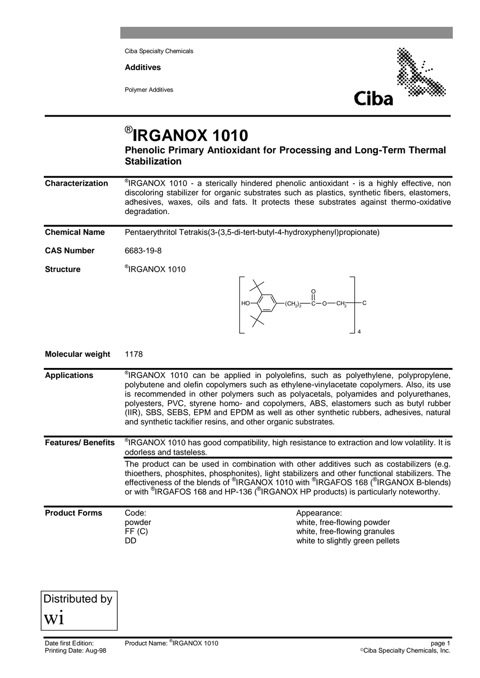Ciba Specialty Chemicals

**Additives**

Polymer Additives



4

## ® **IRGANOX 1010**

**Phenolic Primary Antioxidant for Processing and Long-Term Thermal Stabilization**

**Characterization**  $\textdegree$ IRGANOX 1010 - a sterically hindered phenolic antioxidant - is a highly effective, non discoloring stabilizer for organic substrates such as plastics, synthetic fibers, elastomers, adhesives, waxes, oils and fats. It protects these substrates against thermo-oxidative degradation.

| <b>Chemical Name</b> | Pentaerythritol Tetrakis(3-(3,5-di-tert-butyl-4-hydroxyphenyl)propionate)        |  |  |  |  |
|----------------------|----------------------------------------------------------------------------------|--|--|--|--|
| <b>CAS Number</b>    | 6683-19-8                                                                        |  |  |  |  |
| <b>Structure</b>     | <sup>®</sup> IRGANOX 1010<br>$-CCH_2$ ) <sub>2</sub> $-C-O$ $CH_2$ $-C$<br>$HO-$ |  |  |  |  |

| <b>Molecular weight</b>   | 1178                                                                                                                                                                                                                                                                                                                                                                                                                                                                                                                  |                                                                                                              |  |  |  |
|---------------------------|-----------------------------------------------------------------------------------------------------------------------------------------------------------------------------------------------------------------------------------------------------------------------------------------------------------------------------------------------------------------------------------------------------------------------------------------------------------------------------------------------------------------------|--------------------------------------------------------------------------------------------------------------|--|--|--|
| <b>Applications</b>       | "IRGANOX 1010 can be applied in polyolefins, such as polyethylene, polypropylene,<br>polybutene and olefin copolymers such as ethylene-vinylacetate copolymers. Also, its use<br>is recommended in other polymers such as polyacetals, polyamides and polyurethanes,<br>polyesters, PVC, styrene homo- and copolymers, ABS, elastomers such as butyl rubber<br>(IIR), SBS, SEBS, EPM and EPDM as well as other synthetic rubbers, adhesives, natural<br>and synthetic tackifier resins, and other organic substrates. |                                                                                                              |  |  |  |
| <b>Features/ Benefits</b> | IRGANOX 1010 has good compatibility, high resistance to extraction and low volatility. It is<br>odorless and tasteless.                                                                                                                                                                                                                                                                                                                                                                                               |                                                                                                              |  |  |  |
|                           | The product can be used in combination with other additives such as costabilizers (e.g.<br>thioethers, phosphites, phosphonites), light stabilizers and other functional stabilizers. The<br>effectiveness of the blends of <sup>®</sup> IRGANOX 1010 with <sup>®</sup> IRGAFOS 168 ( <sup>®</sup> IRGANOX B-blends)<br>or with <sup>®</sup> IRGAFOS 168 and HP-136 ( <sup>®</sup> IRGANOX HP products) is particularly noteworthy.                                                                                   |                                                                                                              |  |  |  |
| <b>Product Forms</b>      | Code:<br>powder<br>FF(C)<br>DD                                                                                                                                                                                                                                                                                                                                                                                                                                                                                        | Appearance:<br>white, free-flowing powder<br>white, free-flowing granules<br>white to slightly green pellets |  |  |  |

Distributed by wi